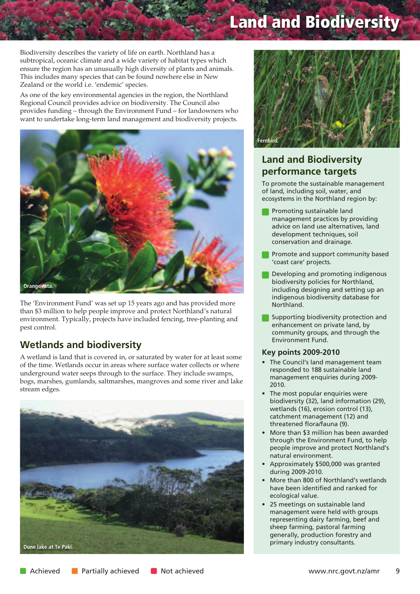# **Land and Biodiversity**

Biodiversity describes the variety of life on earth. Northland has a subtropical, oceanic climate and a wide variety of habitat types which ensure the region has an unusually high diversity of plants and animals. This includes many species that can be found nowhere else in New Zealand or the world i.e. 'endemic' species.

As one of the key environmental agencies in the region, the Northland Regional Council provides advice on biodiversity. The Council also provides funding – through the Environment Fund – for landowners who want to undertake long-term land management and biodiversity projects.



The 'Environment Fund' was set up 15 years ago and has provided more than \$3 million to help people improve and protect Northland's natural environment. Typically, projects have included fencing, tree-planting and pest control.

## **Wetlands and biodiversity**

A wetland is land that is covered in, or saturated by water for at least some of the time. Wetlands occur in areas where surface water collects or where underground water seeps through to the surface. They include swamps, bogs, marshes, gumlands, saltmarshes, mangroves and some river and lake stream edges.





## **Land and Biodiversity performance targets**

To promote the sustainable management of land, including soil, water, and ecosystems in the Northland region by:

- Promoting sustainable land management practices by providing advice on land use alternatives, land development techniques, soil conservation and drainage.
- Promote and support community based 'coast care' projects.
- Developing and promoting indigenous biodiversity policies for Northland, including designing and setting up an indigenous biodiversity database for Northland.
- Supporting biodiversity protection and enhancement on private land, by community groups, and through the Environment Fund.

#### **Key points 2009-2010**

- The Council's land management team responded to 188 sustainable land management enquiries during 2009- 2010.
- The most popular enquiries were biodiversity (32), land information (29), wetlands (16), erosion control (13), catchment management (12) and threatened flora/fauna (9).
- More than \$3 million has been awarded through the Environment Fund, to help people improve and protect Northland's natural environment.
- Approximately \$500,000 was granted during 2009-2010.
- More than 800 of Northland's wetlands have been identified and ranked for ecological value.
- 25 meetings on sustainable land management were held with groups representing dairy farming, beef and sheep farming, pastoral farming generally, production forestry and primary industry consultants.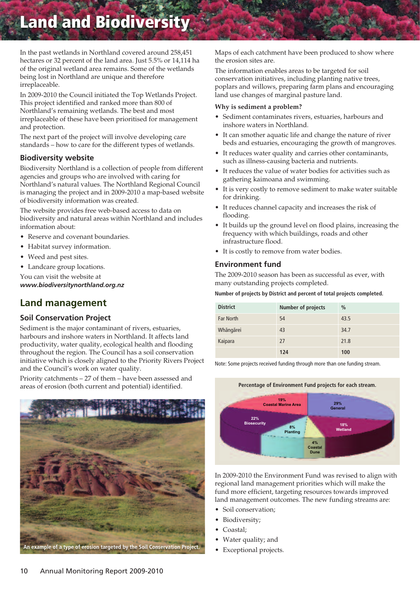## **Land and Biodiversity**

In the past wetlands in Northland covered around 258,451 hectares or 32 percent of the land area. Just 5.5% or 14,114 ha of the original wetland area remains. Some of the wetlands being lost in Northland are unique and therefore irreplaceable.

In 2009-2010 the Council initiated the Top Wetlands Project. This project identified and ranked more than 800 of Northland's remaining wetlands. The best and most irreplaceable of these have been prioritised for management and protection.

The next part of the project will involve developing care standards – how to care for the different types of wetlands.

#### **Biodiversity website**

Biodiversity Northland is a collection of people from different agencies and groups who are involved with caring for Northland's natural values. The Northland Regional Council is managing the project and in 2009-2010 a map-based website of biodiversity information was created.

The website provides free web-based access to data on biodiversity and natural areas within Northland and includes information about:

- Reserve and covenant boundaries.
- Habitat survey information.
- Weed and pest sites.
- Landcare group locations.

You can visit the website at *www.biodiversitynorthland.org.nz*

### **Land management**

#### **Soil Conservation Project**

Sediment is the major contaminant of rivers, estuaries, harbours and inshore waters in Northland. It affects land productivity, water quality, ecological health and flooding throughout the region. The Council has a soil conservation initiative which is closely aligned to the Priority Rivers Project and the Council's work on water quality.

Priority catchments – 27 of them – have been assessed and areas of erosion (both current and potential) identified.



Maps of each catchment have been produced to show where the erosion sites are.

The information enables areas to be targeted for soil conservation initiatives, including planting native trees, poplars and willows, preparing farm plans and encouraging land use changes of marginal pasture land.

#### **Why is sediment a problem?**

- Sediment contaminates rivers, estuaries, harbours and inshore waters in Northland.
- It can smother aquatic life and change the nature of river beds and estuaries, encouraging the growth of mangroves.
- It reduces water quality and carries other contaminants, such as illness-causing bacteria and nutrients.
- It reduces the value of water bodies for activities such as gathering kaimoana and swimming.
- It is very costly to remove sediment to make water suitable for drinking.
- It reduces channel capacity and increases the risk of flooding.
- It builds up the ground level on flood plains, increasing the frequency with which buildings, roads and other infrastructure flood.
- It is costly to remove from water bodies.

#### **Environment fund**

The 2009-2010 season has been as successful as ever, with many outstanding projects completed.

#### **Number of projects by District and percent of total projects completed.**

| <b>District</b>  | <b>Number of projects</b> | $\frac{0}{0}$ |
|------------------|---------------------------|---------------|
| <b>Far North</b> | 54                        | 43.5          |
| Whāngārei        | 43                        | 34.7          |
| Kaipara          | 27                        | 21.8          |
|                  | 124                       | 100           |

Note: Some projects received funding through more than one funding stream.



In 2009-2010 the Environment Fund was revised to align with regional land management priorities which will make the fund more efficient, targeting resources towards improved land management outcomes. The new funding streams are:

- Soil conservation;
- Biodiversity;
- Coastal;
- Water quality; and
- Exceptional projects.